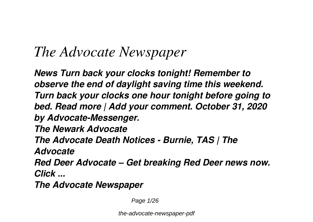# *The Advocate Newspaper*

*News Turn back your clocks tonight! Remember to observe the end of daylight saving time this weekend. Turn back your clocks one hour tonight before going to bed. Read more | Add your comment. October 31, 2020 by Advocate-Messenger.*

*The Newark Advocate*

*The Advocate Death Notices - Burnie, TAS | The*

*Advocate*

*Red Deer Advocate – Get breaking Red Deer news now. Click ...*

*The Advocate Newspaper*

Page 1/26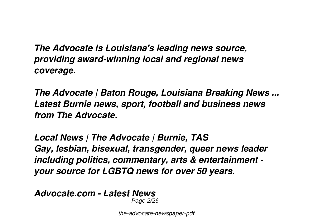*The Advocate is Louisiana's leading news source, providing award-winning local and regional news coverage.*

*The Advocate | Baton Rouge, Louisiana Breaking News ... Latest Burnie news, sport, football and business news from The Advocate.*

*Local News | The Advocate | Burnie, TAS Gay, lesbian, bisexual, transgender, queer news leader including politics, commentary, arts & entertainment your source for LGBTQ news for over 50 years.*

*Advocate.com - Latest News* Page 2/26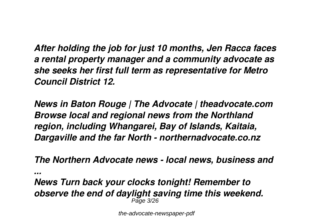*After holding the job for just 10 months, Jen Racca faces a rental property manager and a community advocate as she seeks her first full term as representative for Metro Council District 12.*

*News in Baton Rouge | The Advocate | theadvocate.com Browse local and regional news from the Northland region, including Whangarei, Bay of Islands, Kaitaia, Dargaville and the far North - northernadvocate.co.nz*

*The Northern Advocate news - local news, business and*

*...*

*News Turn back your clocks tonight! Remember to observe the end of daylight saving time this weekend.* Page 3/26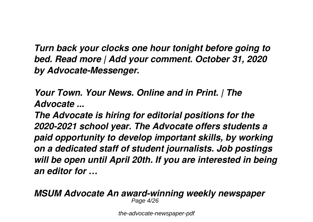*Turn back your clocks one hour tonight before going to bed. Read more | Add your comment. October 31, 2020 by Advocate-Messenger.*

*Your Town. Your News. Online and in Print. | The Advocate ...*

*The Advocate is hiring for editorial positions for the 2020-2021 school year. The Advocate offers students a paid opportunity to develop important skills, by working on a dedicated staff of student journalists. Job postings will be open until April 20th. If you are interested in being an editor for …*

*MSUM Advocate An award-winning weekly newspaper* Page 4/26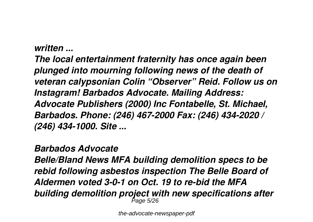#### *written ...*

*The local entertainment fraternity has once again been plunged into mourning following news of the death of veteran calypsonian Colin "Observer" Reid. Follow us on Instagram! Barbados Advocate. Mailing Address: Advocate Publishers (2000) Inc Fontabelle, St. Michael, Barbados. Phone: (246) 467-2000 Fax: (246) 434-2020 / (246) 434-1000. Site ...*

#### *Barbados Advocate*

*Belle/Bland News MFA building demolition specs to be rebid following asbestos inspection The Belle Board of Aldermen voted 3-0-1 on Oct. 19 to re-bid the MFA building demolition project with new specifications after* Page 5/26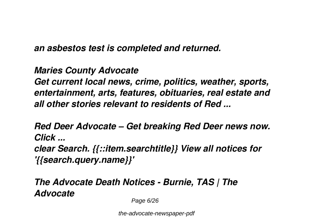*an asbestos test is completed and returned.*

*Maries County Advocate*

*Get current local news, crime, politics, weather, sports, entertainment, arts, features, obituaries, real estate and all other stories relevant to residents of Red ...*

*Red Deer Advocate – Get breaking Red Deer news now. Click ...*

*clear Search. {{::item.searchtitle}} View all notices for '{{search.query.name}}'*

*The Advocate Death Notices - Burnie, TAS | The Advocate*

Page 6/26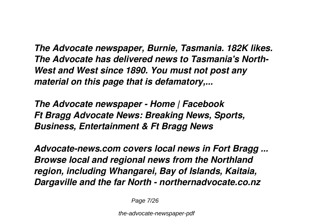*The Advocate newspaper, Burnie, Tasmania. 182K likes. The Advocate has delivered news to Tasmania's North-West and West since 1890. You must not post any material on this page that is defamatory,...*

*The Advocate newspaper - Home | Facebook Ft Bragg Advocate News: Breaking News, Sports, Business, Entertainment & Ft Bragg News*

*Advocate-news.com covers local news in Fort Bragg ... Browse local and regional news from the Northland region, including Whangarei, Bay of Islands, Kaitaia, Dargaville and the far North - northernadvocate.co.nz*

Page 7/26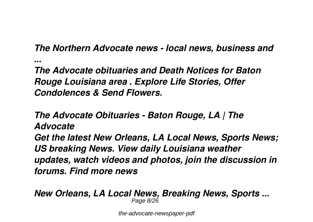## *The Northern Advocate news - local news, business and*

*...*

*The Advocate obituaries and Death Notices for Baton Rouge Louisiana area . Explore Life Stories, Offer Condolences & Send Flowers.*

*The Advocate Obituaries - Baton Rouge, LA | The Advocate Get the latest New Orleans, LA Local News, Sports News; US breaking News. View daily Louisiana weather updates, watch videos and photos, join the discussion in forums. Find more news*

*New Orleans, LA Local News, Breaking News, Sports ...* Page 8/26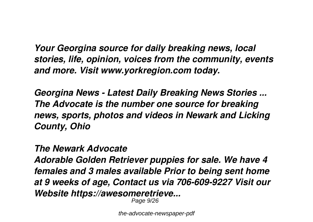*Your Georgina source for daily breaking news, local stories, life, opinion, voices from the community, events and more. Visit www.yorkregion.com today.*

*Georgina News - Latest Daily Breaking News Stories ... The Advocate is the number one source for breaking news, sports, photos and videos in Newark and Licking County, Ohio*

*The Newark Advocate*

*Adorable Golden Retriever puppies for sale. We have 4 females and 3 males available Prior to being sent home at 9 weeks of age, Contact us via 706-609-9227 Visit our Website https://awesomeretrieve...*

Page 9/26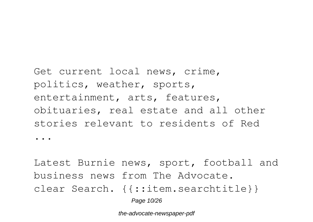Get current local news, crime, politics, weather, sports, entertainment, arts, features, obituaries, real estate and all other stories relevant to residents of Red ...

Latest Burnie news, sport, football and business news from The Advocate. clear Search. {{::item.searchtitle}} Page 10/26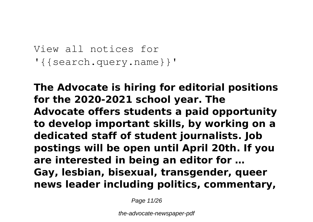```
View all notices for
'{{search.query.name}}'
```
**The Advocate is hiring for editorial positions for the 2020-2021 school year. The Advocate offers students a paid opportunity to develop important skills, by working on a dedicated staff of student journalists. Job postings will be open until April 20th. If you are interested in being an editor for … Gay, lesbian, bisexual, transgender, queer news leader including politics, commentary,**

Page 11/26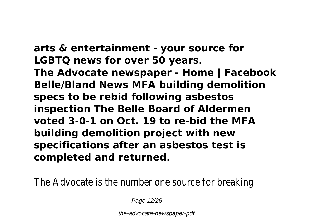**arts & entertainment - your source for LGBTQ news for over 50 years. The Advocate newspaper - Home | Facebook Belle/Bland News MFA building demolition specs to be rebid following asbestos inspection The Belle Board of Aldermen voted 3-0-1 on Oct. 19 to re-bid the MFA building demolition project with new specifications after an asbestos test is completed and returned.**

The Advocate is the number one source

Page 12/26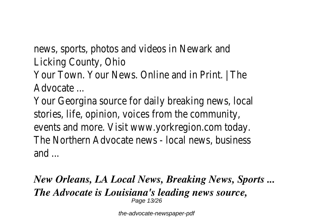news, sports, photos and videos in N Licking County,

Your Town. Your News. Online and in **Advocate** 

Your Georgina source for daily breaking stories, life, opinion, voices from the events and more. Visit www.yorkregion. The Northern Advocate news - local new and .

#### *New Orleans, LA Local News, Breaking News, Sports ... The Advocate is Louisiana's leading news source,* Page 13/26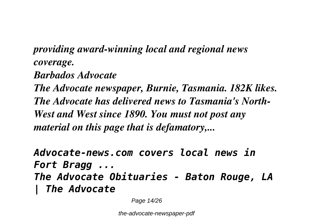## *providing award-winning local and regional news coverage. Barbados Advocate*

*The Advocate newspaper, Burnie, Tasmania. 182K likes. The Advocate has delivered news to Tasmania's North-West and West since 1890. You must not post any material on this page that is defamatory,...*

*Advocate-news.com covers local news in Fort Bragg ... The Advocate Obituaries - Baton Rouge, LA | The Advocate*

Page 14/26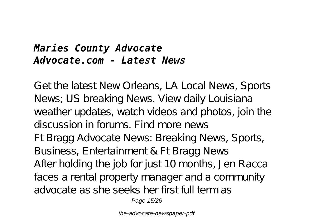## *Maries County Advocate Advocate.com - Latest News*

Get the latest New Orleans, LA Local News, Sports News; US breaking News. View daily Louisiana weather updates, watch videos and photos, join the discussion in forums. Find more news Ft Bragg Advocate News: Breaking News, Sports, Business, Entertainment & Ft Bragg News After holding the job for just 10 months, Jen Racca faces a rental property manager and a community advocate as she seeks her first full term as

Page 15/26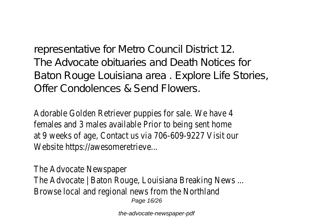representative for Metro Council District 12. The Advocate obituaries and Death Notices for Baton Rouge Louisiana area . Explore Life Stories, Offer Condolences & Send Flowers.

Adorable Golden Retriever puppies for sale. We have 4 females and 3 males available Prior to being sent home at 9 weeks of age, Contact us via 706-609-9227 Visit our Website https://awesomeretrieve...

The Advocate Newspaper The Advocate | Baton Rouge, Louisiana Breaking News ... Browse local and regional news from the Northland Page 16/26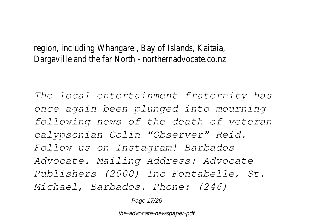region, including Whangarei, Bay of Islands, Kaitaia, Dargaville and the far North - northernadvocate.co.nz

*The local entertainment fraternity has once again been plunged into mourning following news of the death of veteran calypsonian Colin "Observer" Reid. Follow us on Instagram! Barbados Advocate. Mailing Address: Advocate Publishers (2000) Inc Fontabelle, St. Michael, Barbados. Phone: (246)*

Page 17/26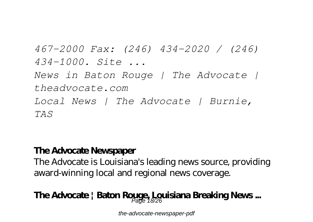*467-2000 Fax: (246) 434-2020 / (246) 434-1000. Site ... News in Baton Rouge | The Advocate | theadvocate.com Local News | The Advocate | Burnie, TAS*

#### **The Advocate Newspaper**

The Advocate is Louisiana's leading news source, providing award-winning local and regional news coverage.

## **The Advocate | Baton Rouge, Louisiana Breaking News ...** Page 18/26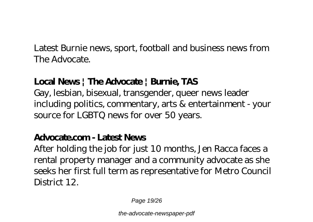Latest Burnie news, sport, football and business news from The Advocate.

#### **Local News | The Advocate | Burnie, TAS**

Gay, lesbian, bisexual, transgender, queer news leader including politics, commentary, arts & entertainment - your source for LGBTQ news for over 50 years.

#### **Advocate.com - Latest News**

After holding the job for just 10 months, Jen Racca faces a rental property manager and a community advocate as she seeks her first full term as representative for Metro Council District 12.

Page 19/26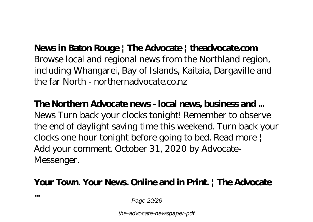#### **News in Baton Rouge | The Advocate | theadvocate.com**

Browse local and regional news from the Northland region, including Whangarei, Bay of Islands, Kaitaia, Dargaville and the far North - northernadvocate.co.nz

#### **The Northern Advocate news - local news, business and ...**

News Turn back your clocks tonight! Remember to observe the end of daylight saving time this weekend. Turn back your clocks one hour tonight before going to bed. Read more | Add your comment. October 31, 2020 by Advocate-Messenger.

### **Your Town. Your News. Online and in Print. | The Advocate**

**...**

Page 20/26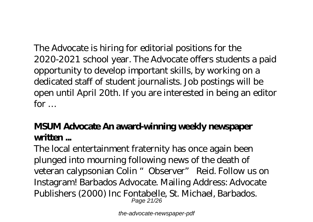The Advocate is hiring for editorial positions for the 2020-2021 school year. The Advocate offers students a paid opportunity to develop important skills, by working on a dedicated staff of student journalists. Job postings will be open until April 20th. If you are interested in being an editor for …

## **MSUM Advocate An award-winning weekly newspaper written ...**

The local entertainment fraternity has once again been plunged into mourning following news of the death of veteran calypsonian Colin "Observer" Reid. Follow us on Instagram! Barbados Advocate. Mailing Address: Advocate Publishers (2000) Inc Fontabelle, St. Michael, Barbados. Page 21/26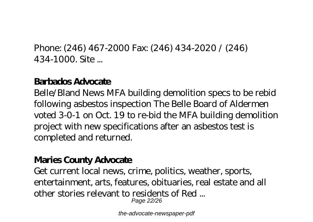Phone: (246) 467-2000 Fax: (246) 434-2020 / (246) 434-1000. Site ...

#### **Barbados Advocate**

Belle/Bland News MFA building demolition specs to be rebid following asbestos inspection The Belle Board of Aldermen voted 3-0-1 on Oct. 19 to re-bid the MFA building demolition project with new specifications after an asbestos test is completed and returned.

#### **Maries County Advocate**

Get current local news, crime, politics, weather, sports, entertainment, arts, features, obituaries, real estate and all other stories relevant to residents of Red ... Page 22/26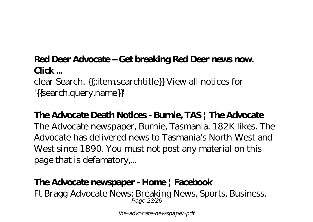#### **Red Deer Advocate – Get breaking Red Deer news now. Click ...**

clear Search. {{::item.searchtitle}} View all notices for '{{search.query.name}}'

## **The Advocate Death Notices - Burnie, TAS | The Advocate**

The Advocate newspaper, Burnie, Tasmania. 182K likes. The Advocate has delivered news to Tasmania's North-West and West since 1890. You must not post any material on this page that is defamatory,...

### **The Advocate newspaper - Home | Facebook**

Ft Bragg Advocate News: Breaking News, Sports, Business, Page 23/26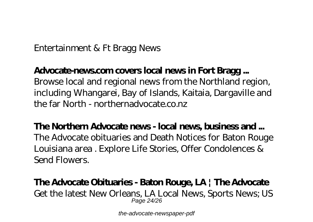Entertainment & Ft Bragg News

#### **Advocate-news.com covers local news in Fort Bragg ...**

Browse local and regional news from the Northland region, including Whangarei, Bay of Islands, Kaitaia, Dargaville and the far North - northernadvocate.co.nz

**The Northern Advocate news - local news, business and ...** The Advocate obituaries and Death Notices for Baton Rouge Louisiana area . Explore Life Stories, Offer Condolences & Send Flowers.

#### **The Advocate Obituaries - Baton Rouge, LA | The Advocate** Get the latest New Orleans, LA Local News, Sports News; US Page 24/26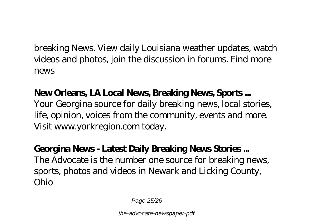breaking News. View daily Louisiana weather updates, watch videos and photos, join the discussion in forums. Find more news

## **New Orleans, LA Local News, Breaking News, Sports ...**

Your Georgina source for daily breaking news, local stories, life, opinion, voices from the community, events and more. Visit www.yorkregion.com today.

#### **Georgina News - Latest Daily Breaking News Stories ...** The Advocate is the number one source for breaking news, sports, photos and videos in Newark and Licking County, Ohio

Page 25/26